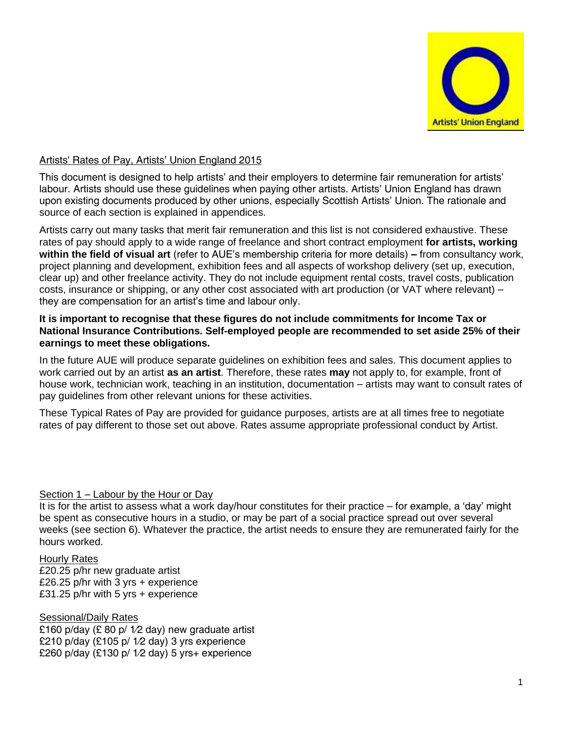

#### Artists' Rates of Pay, Artists' Union England 2015

This document is designed to help artists' and their employers to determine fair remuneration for artists' labour. Artists should use these guidelines when paying other artists. Artists' Union England has drawn upon existing documents produced by other unions, especially Scottish Artists' Union. The rationale and source of each section is explained in appendices.

Artists carry out many tasks that merit fair remuneration and this list is not considered exhaustive. These rates of pay should apply to a wide range of freelance and short contract employment **for artists, working within the field of visual art** (refer to AUE's membership criteria for more details) **–** from consultancy work, project planning and development, exhibition fees and all aspects of workshop delivery (set up, execution, clear up) and other freelance activity. They do not include equipment rental costs, travel costs, publication costs, insurance or shipping, or any other cost associated with art production (or VAT where relevant) – they are compensation for an artist's time and labour only.

**It is important to recognise that these figures do not include commitments for Income Tax or National Insurance Contributions. Self-employed people are recommended to set aside 25% of their earnings to meet these obligations.**

In the future AUE will produce separate guidelines on exhibition fees and sales. This document applies to work carried out by an artist **as an artist**. Therefore, these rates **may** not apply to, for example, front of house work, technician work, teaching in an institution, documentation – artists may want to consult rates of pay guidelines from other relevant unions for these activities.

These Typical Rates of Pay are provided for guidance purposes, artists are at all times free to negotiate rates of pay different to those set out above. Rates assume appropriate professional conduct by Artist.

Section 1 – Labour by the Hour or Day

It is for the artist to assess what a work day/hour constitutes for their practice – for example, a 'day' might be spent as consecutive hours in a studio, or may be part of a social practice spread out over several weeks (see section 6). Whatever the practice, the artist needs to ensure they are remunerated fairly for the hours worked.

#### Hourly Rates

£20.25 p/hr new graduate artist £26.25 p/hr with 3 yrs + experience £31.25 p/hr with 5 yrs + experience

Sessional/Daily Rates £160 p/day (£ 80 p/ 1⁄2 day) new graduate artist £210 p/day (£105 p/ 1⁄2 day) 3 yrs experience £260 p/day (£130 p/ 1⁄2 day) 5 yrs+ experience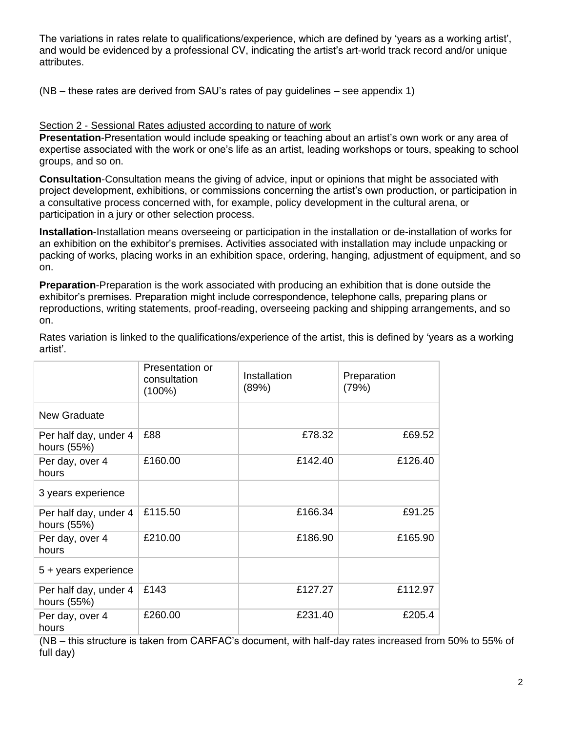The variations in rates relate to qualifications/experience, which are defined by 'years as a working artist', and would be evidenced by a professional CV, indicating the artist's art-world track record and/or unique attributes.

(NB – these rates are derived from SAU's rates of pay guidelines – see appendix 1)

#### Section 2 - Sessional Rates adjusted according to nature of work

**Presentation**-Presentation would include speaking or teaching about an artist's own work or any area of expertise associated with the work or one's life as an artist, leading workshops or tours, speaking to school groups, and so on.

**Consultation**-Consultation means the giving of advice, input or opinions that might be associated with project development, exhibitions, or commissions concerning the artist's own production, or participation in a consultative process concerned with, for example, policy development in the cultural arena, or participation in a jury or other selection process.

**Installation**-Installation means overseeing or participation in the installation or de-installation of works for an exhibition on the exhibitor's premises. Activities associated with installation may include unpacking or packing of works, placing works in an exhibition space, ordering, hanging, adjustment of equipment, and so on.

**Preparation**-Preparation is the work associated with producing an exhibition that is done outside the exhibitor's premises. Preparation might include correspondence, telephone calls, preparing plans or reproductions, writing statements, proof-reading, overseeing packing and shipping arrangements, and so on.

|                                      | Presentation or<br>consultation<br>$(100\%)$ | Installation<br>(89%) | Preparation<br>(79%) |
|--------------------------------------|----------------------------------------------|-----------------------|----------------------|
| <b>New Graduate</b>                  |                                              |                       |                      |
| Per half day, under 4<br>hours (55%) | £88                                          | £78.32                | £69.52               |
| Per day, over 4<br>hours             | £160.00                                      | £142.40               | £126.40              |
| 3 years experience                   |                                              |                       |                      |
| Per half day, under 4<br>hours (55%) | £115.50                                      | £166.34               | £91.25               |
| Per day, over 4<br>hours             | £210.00                                      | £186.90               | £165.90              |
| 5 + years experience                 |                                              |                       |                      |
| Per half day, under 4<br>hours (55%) | £143                                         | £127.27               | £112.97              |
| Per day, over 4<br>hours             | £260.00                                      | £231.40               | £205.4               |

Rates variation is linked to the qualifications/experience of the artist, this is defined by 'years as a working artist'.

(NB – this structure is taken from CARFAC's document, with half-day rates increased from 50% to 55% of full day)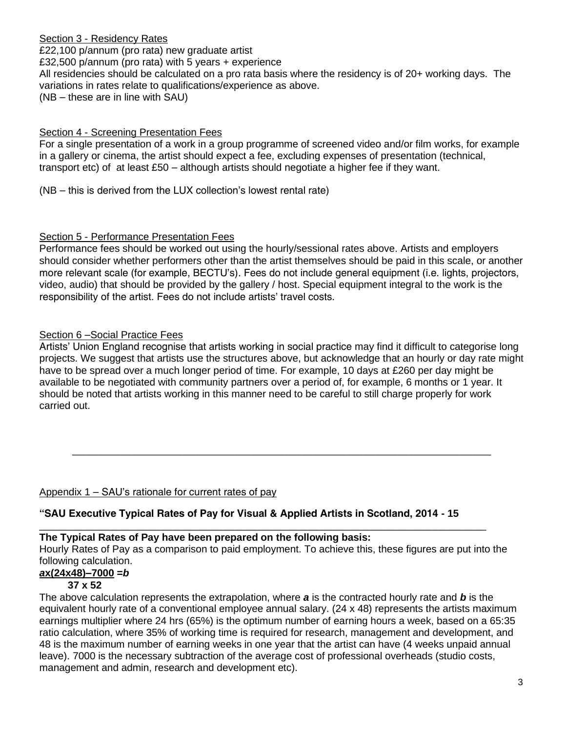#### Section 3 - Residency Rates

£22,100 p/annum (pro rata) new graduate artist

£32,500 p/annum (pro rata) with 5 years + experience

All residencies should be calculated on a pro rata basis where the residency is of 20+ working days. The variations in rates relate to qualifications/experience as above.

(NB – these are in line with SAU)

#### Section 4 - Screening Presentation Fees

For a single presentation of a work in a group programme of screened video and/or film works, for example in a gallery or cinema, the artist should expect a fee, excluding expenses of presentation (technical, transport etc) of at least £50 – although artists should negotiate a higher fee if they want.

(NB – this is derived from the LUX collection's lowest rental rate)

# Section 5 - Performance Presentation Fees

Performance fees should be worked out using the hourly/sessional rates above. Artists and employers should consider whether performers other than the artist themselves should be paid in this scale, or another more relevant scale (for example, BECTU's). Fees do not include general equipment (i.e. lights, projectors, video, audio) that should be provided by the gallery / host. Special equipment integral to the work is the responsibility of the artist. Fees do not include artists' travel costs.

# Section 6 –Social Practice Fees

Artists' Union England recognise that artists working in social practice may find it difficult to categorise long projects. We suggest that artists use the structures above, but acknowledge that an hourly or day rate might have to be spread over a much longer period of time. For example, 10 days at £260 per day might be available to be negotiated with community partners over a period of, for example, 6 months or 1 year. It should be noted that artists working in this manner need to be careful to still charge properly for work carried out.

\_\_\_\_\_\_\_\_\_\_\_\_\_\_\_\_\_\_\_\_\_\_\_\_\_\_\_\_\_\_\_\_\_\_\_\_\_\_\_\_\_\_\_\_\_\_\_\_\_\_\_\_\_\_\_\_\_\_\_\_\_\_\_\_\_\_\_\_\_\_\_\_\_\_

# Appendix 1 – SAU's rationale for current rates of pay

# **"SAU Executive Typical Rates of Pay for Visual & Applied Artists in Scotland, 2014 - 15**

\_\_\_\_\_\_\_\_\_\_\_\_\_\_\_\_\_\_\_\_\_\_\_\_\_\_\_\_\_\_\_\_\_\_\_\_\_\_\_\_\_\_\_\_\_\_\_\_\_\_\_\_\_\_\_\_\_\_\_\_\_\_\_\_\_\_\_\_\_\_\_\_\_\_\_\_\_\_\_

**The Typical Rates of Pay have been prepared on the following basis:**

Hourly Rates of Pay as a comparison to paid employment. To achieve this, these figures are put into the following calculation.

# *a***x(24x48)–7000 =***b*

#### **37 x 52**

The above calculation represents the extrapolation, where *a* is the contracted hourly rate and *b* is the equivalent hourly rate of a conventional employee annual salary. (24 x 48) represents the artists maximum earnings multiplier where 24 hrs (65%) is the optimum number of earning hours a week, based on a 65:35 ratio calculation, where 35% of working time is required for research, management and development, and 48 is the maximum number of earning weeks in one year that the artist can have (4 weeks unpaid annual leave). 7000 is the necessary subtraction of the average cost of professional overheads (studio costs, management and admin, research and development etc).